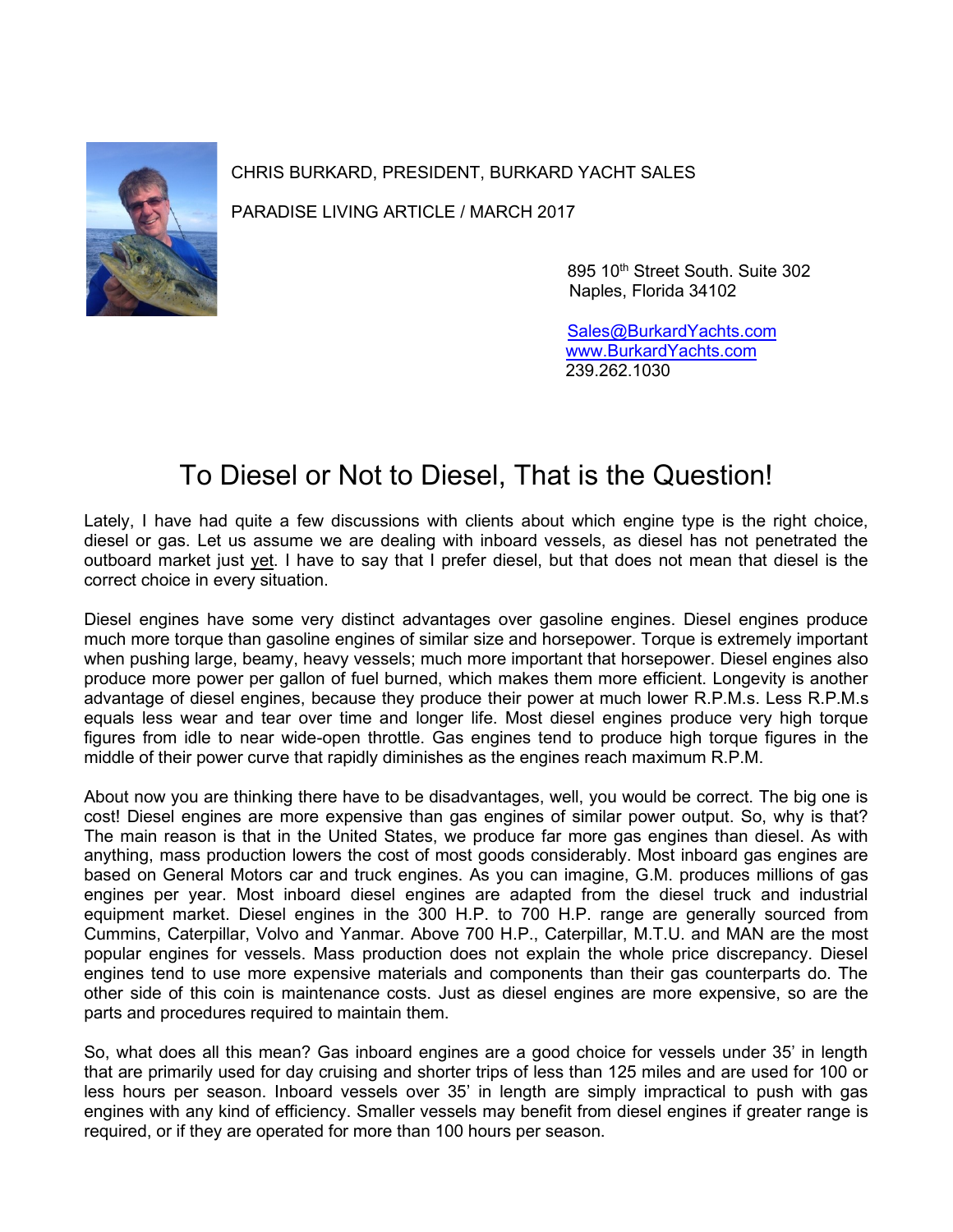

CHRIS BURKARD, PRESIDENT, BURKARD YACHT SALES

PARADISE LIVING ARTICLE / MARCH 2017

895 10<sup>th</sup> Street South. Suite 302 Naples, Florida 34102

 [Sales@BurkardYachts.com](mailto:Sales@BurkardYachts.com) [www.BurkardYachts.com](http://www.burkardyachts.com/) 239.262.1030

## To Diesel or Not to Diesel, That is the Question!

Lately, I have had quite a few discussions with clients about which engine type is the right choice, diesel or gas. Let us assume we are dealing with inboard vessels, as diesel has not penetrated the outboard market just yet. I have to say that I prefer diesel, but that does not mean that diesel is the correct choice in every situation.

Diesel engines have some very distinct advantages over gasoline engines. Diesel engines produce much more torque than gasoline engines of similar size and horsepower. Torque is extremely important when pushing large, beamy, heavy vessels; much more important that horsepower. Diesel engines also produce more power per gallon of fuel burned, which makes them more efficient. Longevity is another advantage of diesel engines, because they produce their power at much lower R.P.M.s. Less R.P.M.s equals less wear and tear over time and longer life. Most diesel engines produce very high torque figures from idle to near wide-open throttle. Gas engines tend to produce high torque figures in the middle of their power curve that rapidly diminishes as the engines reach maximum R.P.M.

About now you are thinking there have to be disadvantages, well, you would be correct. The big one is cost! Diesel engines are more expensive than gas engines of similar power output. So, why is that? The main reason is that in the United States, we produce far more gas engines than diesel. As with anything, mass production lowers the cost of most goods considerably. Most inboard gas engines are based on General Motors car and truck engines. As you can imagine, G.M. produces millions of gas engines per year. Most inboard diesel engines are adapted from the diesel truck and industrial equipment market. Diesel engines in the 300 H.P. to 700 H.P. range are generally sourced from Cummins, Caterpillar, Volvo and Yanmar. Above 700 H.P., Caterpillar, M.T.U. and MAN are the most popular engines for vessels. Mass production does not explain the whole price discrepancy. Diesel engines tend to use more expensive materials and components than their gas counterparts do. The other side of this coin is maintenance costs. Just as diesel engines are more expensive, so are the parts and procedures required to maintain them.

So, what does all this mean? Gas inboard engines are a good choice for vessels under 35' in length that are primarily used for day cruising and shorter trips of less than 125 miles and are used for 100 or less hours per season. Inboard vessels over 35' in length are simply impractical to push with gas engines with any kind of efficiency. Smaller vessels may benefit from diesel engines if greater range is required, or if they are operated for more than 100 hours per season.